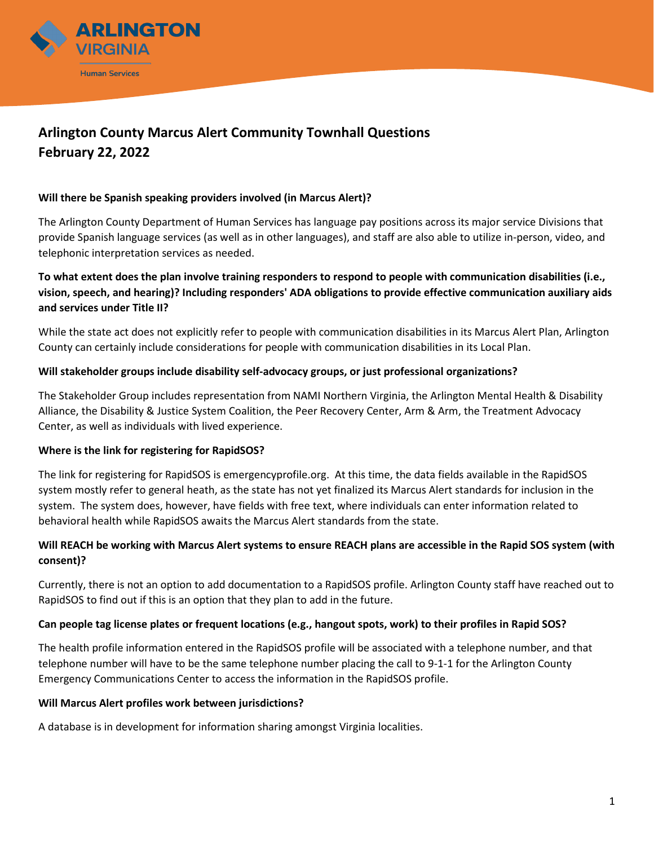

# **Arlington County Marcus Alert Community Townhall Questions February 22, 2022**

#### **Will there be Spanish speaking providers involved (in Marcus Alert)?**

The Arlington County Department of Human Services has language pay positions across its major service Divisions that provide Spanish language services (as well as in other languages), and staff are also able to utilize in-person, video, and telephonic interpretation services as needed.

## **To what extent does the plan involve training responders to respond to people with communication disabilities (i.e., vision, speech, and hearing)? Including responders' ADA obligations to provide effective communication auxiliary aids and services under Title II?**

While the state act does not explicitly refer to people with communication disabilities in its Marcus Alert Plan, Arlington County can certainly include considerations for people with communication disabilities in its Local Plan.

### **Will stakeholder groups include disability self-advocacy groups, or just professional organizations?**

The Stakeholder Group includes representation from NAMI Northern Virginia, the Arlington Mental Health & Disability Alliance, the Disability & Justice System Coalition, the Peer Recovery Center, Arm & Arm, the Treatment Advocacy Center, as well as individuals with lived experience.

## **Where is the link for registering for RapidSOS?**

The link for registering for RapidSOS is emergencyprofile.org. At this time, the data fields available in the RapidSOS system mostly refer to general heath, as the state has not yet finalized its Marcus Alert standards for inclusion in the system. The system does, however, have fields with free text, where individuals can enter information related to behavioral health while RapidSOS awaits the Marcus Alert standards from the state.

## **Will REACH be working with Marcus Alert systems to ensure REACH plans are accessible in the Rapid SOS system (with consent)?**

Currently, there is not an option to add documentation to a RapidSOS profile. Arlington County staff have reached out to RapidSOS to find out if this is an option that they plan to add in the future.

#### **Can people tag license plates or frequent locations (e.g., hangout spots, work) to their profiles in Rapid SOS?**

The health profile information entered in the RapidSOS profile will be associated with a telephone number, and that telephone number will have to be the same telephone number placing the call to 9-1-1 for the Arlington County Emergency Communications Center to access the information in the RapidSOS profile.

#### **Will Marcus Alert profiles work between jurisdictions?**

A database is in development for information sharing amongst Virginia localities.